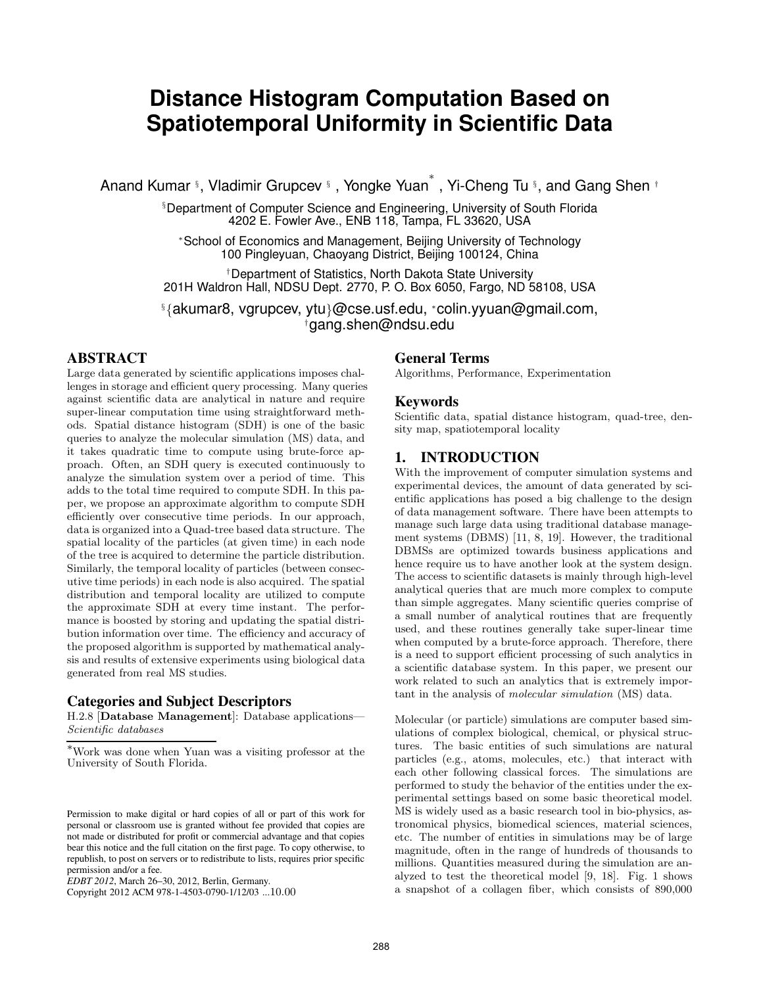# **Distance Histogram Computation Based on Spatiotemporal Uniformity in Scientific Data**

Anand Kumar §, Vladimir Grupcev §, Yongke Yuan<sup>\*</sup>, Yi-Cheng Tu §, and Gang Shen †

§Department of Computer Science and Engineering, University of South Florida 4202 E. Fowler Ave., ENB 118, Tampa, FL 33620, USA

<sup>∗</sup>School of Economics and Management, Beijing University of Technology 100 Pingleyuan, Chaoyang District, Beijing 100124, China

†Department of Statistics, North Dakota State University 201H Waldron Hall, NDSU Dept. 2770, P. O. Box 6050, Fargo, ND 58108, USA

§ akumar8, vgrupcev, ytu @cse.usf.edu, <sup>∗</sup>colin.yyuan@gmail.com, †gang.shen@ndsu.edu

# ABSTRACT

Large data generated by scientific applications imposes challenges in storage and efficient query processing. Many queries against scientific data are analytical in nature and require super-linear computation time using straightforward methods. Spatial distance histogram (SDH) is one of the basic queries to analyze the molecular simulation (MS) data, and it takes quadratic time to compute using brute-force approach. Often, an SDH query is executed continuously to analyze the simulation system over a period of time. This adds to the total time required to compute SDH. In this paper, we propose an approximate algorithm to compute SDH efficiently over consecutive time periods. In our approach, data is organized into a Quad-tree based data structure. The spatial locality of the particles (at given time) in each node of the tree is acquired to determine the particle distribution. Similarly, the temporal locality of particles (between consecutive time periods) in each node is also acquired. The spatial distribution and temporal locality are utilized to compute the approximate SDH at every time instant. The performance is boosted by storing and updating the spatial distribution information over time. The efficiency and accuracy of the proposed algorithm is supported by mathematical analysis and results of extensive experiments using biological data generated from real MS studies.

## Categories and Subject Descriptors

H.2.8 [Database Management]: Database applications— Scientific databases

Copyright 2012 ACM 978-1-4503-0790-1/12/03 ...10.00

#### General Terms

Algorithms, Performance, Experimentation

#### Keywords

Scientific data, spatial distance histogram, quad-tree, density map, spatiotemporal locality

# 1. INTRODUCTION

With the improvement of computer simulation systems and experimental devices, the amount of data generated by scientific applications has posed a big challenge to the design of data management software. There have been attempts to manage such large data using traditional database management systems (DBMS) [11, 8, 19]. However, the traditional DBMSs are optimized towards business applications and hence require us to have another look at the system design. The access to scientific datasets is mainly through high-level analytical queries that are much more complex to compute than simple aggregates. Many scientific queries comprise of a small number of analytical routines that are frequently used, and these routines generally take super-linear time when computed by a brute-force approach. Therefore, there is a need to support efficient processing of such analytics in a scientific database system. In this paper, we present our work related to such an analytics that is extremely important in the analysis of molecular simulation (MS) data.

Molecular (or particle) simulations are computer based simulations of complex biological, chemical, or physical structures. The basic entities of such simulations are natural particles (e.g., atoms, molecules, etc.) that interact with each other following classical forces. The simulations are performed to study the behavior of the entities under the experimental settings based on some basic theoretical model. MS is widely used as a basic research tool in bio-physics, astronomical physics, biomedical sciences, material sciences, etc. The number of entities in simulations may be of large magnitude, often in the range of hundreds of thousands to millions. Quantities measured during the simulation are analyzed to test the theoretical model [9, 18]. Fig. 1 shows a snapshot of a collagen fiber, which consists of 890,000

<sup>∗</sup>Work was done when Yuan was a visiting professor at the University of South Florida.

Permission to make digital or hard copies of all or part of this work for personal or classroom use is granted without fee provided that copies are not made or distributed for profit or commercial advantage and that copies bear this notice and the full citation on the first page. To copy otherwise, to republish, to post on servers or to redistribute to lists, requires prior specific permission and/or a fee.

*EDBT 2012*, March 26–30, 2012, Berlin, Germany.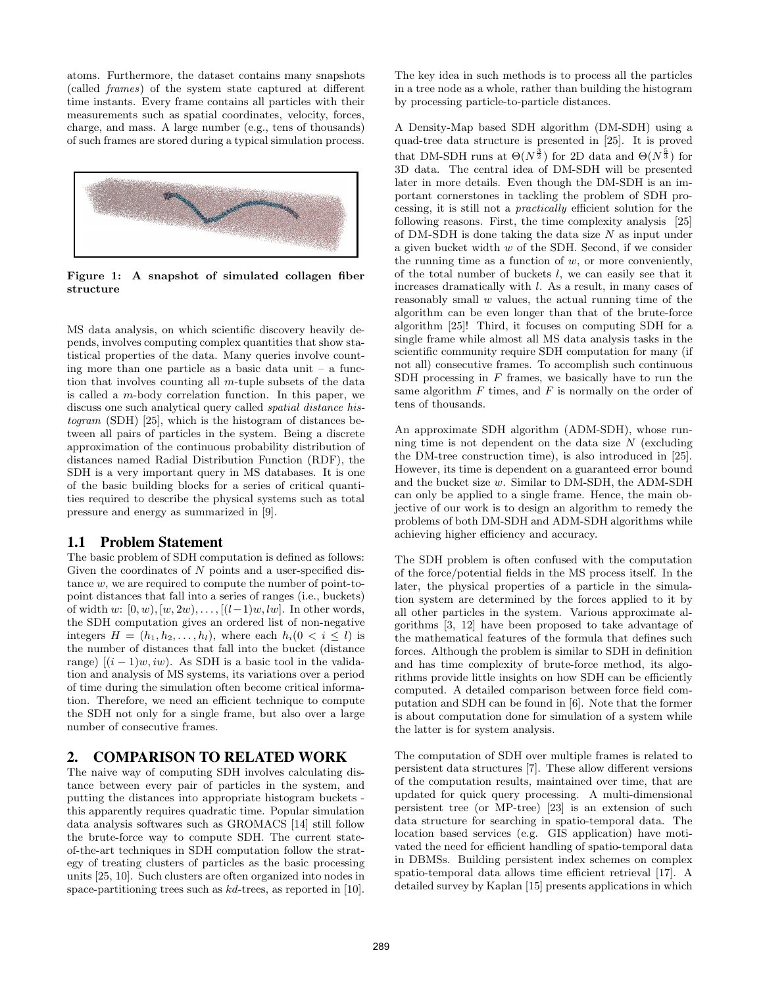atoms. Furthermore, the dataset contains many snapshots (called frames) of the system state captured at different time instants. Every frame contains all particles with their measurements such as spatial coordinates, velocity, forces, charge, and mass. A large number (e.g., tens of thousands) of such frames are stored during a typical simulation process.



Figure 1: A snapshot of simulated collagen fiber structure

MS data analysis, on which scientific discovery heavily depends, involves computing complex quantities that show statistical properties of the data. Many queries involve counting more than one particle as a basic data unit  $-$  a function that involves counting all  $m$ -tuple subsets of the data is called a m-body correlation function. In this paper, we discuss one such analytical query called *spatial distance his*togram (SDH) [25], which is the histogram of distances between all pairs of particles in the system. Being a discrete approximation of the continuous probability distribution of distances named Radial Distribution Function (RDF), the SDH is a very important query in MS databases. It is one of the basic building blocks for a series of critical quantities required to describe the physical systems such as total pressure and energy as summarized in [9].

## 1.1 Problem Statement

The basic problem of SDH computation is defined as follows: Given the coordinates of N points and a user-specified distance w, we are required to compute the number of point-topoint distances that fall into a series of ranges (i.e., buckets) of width w:  $[0, w), [w, 2w), \ldots, [(l-1)w, lw]$ . In other words, the SDH computation gives an ordered list of non-negative integers  $H = (h_1, h_2, \ldots, h_l)$ , where each  $h_i(0 \lt i \leq l)$  is the number of distances that fall into the bucket (distance range)  $[(i - 1)w, iw)$ . As SDH is a basic tool in the validation and analysis of MS systems, its variations over a period of time during the simulation often become critical information. Therefore, we need an efficient technique to compute the SDH not only for a single frame, but also over a large number of consecutive frames.

## 2. COMPARISON TO RELATED WORK

The naive way of computing SDH involves calculating distance between every pair of particles in the system, and putting the distances into appropriate histogram buckets this apparently requires quadratic time. Popular simulation data analysis softwares such as GROMACS [14] still follow the brute-force way to compute SDH. The current stateof-the-art techniques in SDH computation follow the strategy of treating clusters of particles as the basic processing units [25, 10]. Such clusters are often organized into nodes in space-partitioning trees such as kd-trees, as reported in [10]. The key idea in such methods is to process all the particles in a tree node as a whole, rather than building the histogram by processing particle-to-particle distances.

A Density-Map based SDH algorithm (DM-SDH) using a quad-tree data structure is presented in [25]. It is proved that DM-SDH runs at  $\Theta(N^{\frac{3}{2}})$  for 2D data and  $\Theta(N^{\frac{5}{3}})$  for 3D data. The central idea of DM-SDH will be presented later in more details. Even though the DM-SDH is an important cornerstones in tackling the problem of SDH processing, it is still not a practically efficient solution for the following reasons. First, the time complexity analysis [25] of DM-SDH is done taking the data size  $N$  as input under a given bucket width w of the SDH. Second, if we consider the running time as a function of  $w$ , or more conveniently, of the total number of buckets  $l$ , we can easily see that it increases dramatically with l. As a result, in many cases of reasonably small  $w$  values, the actual running time of the algorithm can be even longer than that of the brute-force algorithm [25]! Third, it focuses on computing SDH for a single frame while almost all MS data analysis tasks in the scientific community require SDH computation for many (if not all) consecutive frames. To accomplish such continuous SDH processing in  $F$  frames, we basically have to run the same algorithm  $F$  times, and  $F$  is normally on the order of tens of thousands.

An approximate SDH algorithm (ADM-SDH), whose running time is not dependent on the data size  $N$  (excluding the DM-tree construction time), is also introduced in [25]. However, its time is dependent on a guaranteed error bound and the bucket size w. Similar to DM-SDH, the ADM-SDH can only be applied to a single frame. Hence, the main objective of our work is to design an algorithm to remedy the problems of both DM-SDH and ADM-SDH algorithms while achieving higher efficiency and accuracy.

The SDH problem is often confused with the computation of the force/potential fields in the MS process itself. In the later, the physical properties of a particle in the simulation system are determined by the forces applied to it by all other particles in the system. Various approximate algorithms [3, 12] have been proposed to take advantage of the mathematical features of the formula that defines such forces. Although the problem is similar to SDH in definition and has time complexity of brute-force method, its algorithms provide little insights on how SDH can be efficiently computed. A detailed comparison between force field computation and SDH can be found in [6]. Note that the former is about computation done for simulation of a system while the latter is for system analysis.

The computation of SDH over multiple frames is related to persistent data structures [7]. These allow different versions of the computation results, maintained over time, that are updated for quick query processing. A multi-dimensional persistent tree (or MP-tree) [23] is an extension of such data structure for searching in spatio-temporal data. The location based services (e.g. GIS application) have motivated the need for efficient handling of spatio-temporal data in DBMSs. Building persistent index schemes on complex spatio-temporal data allows time efficient retrieval [17]. A detailed survey by Kaplan [15] presents applications in which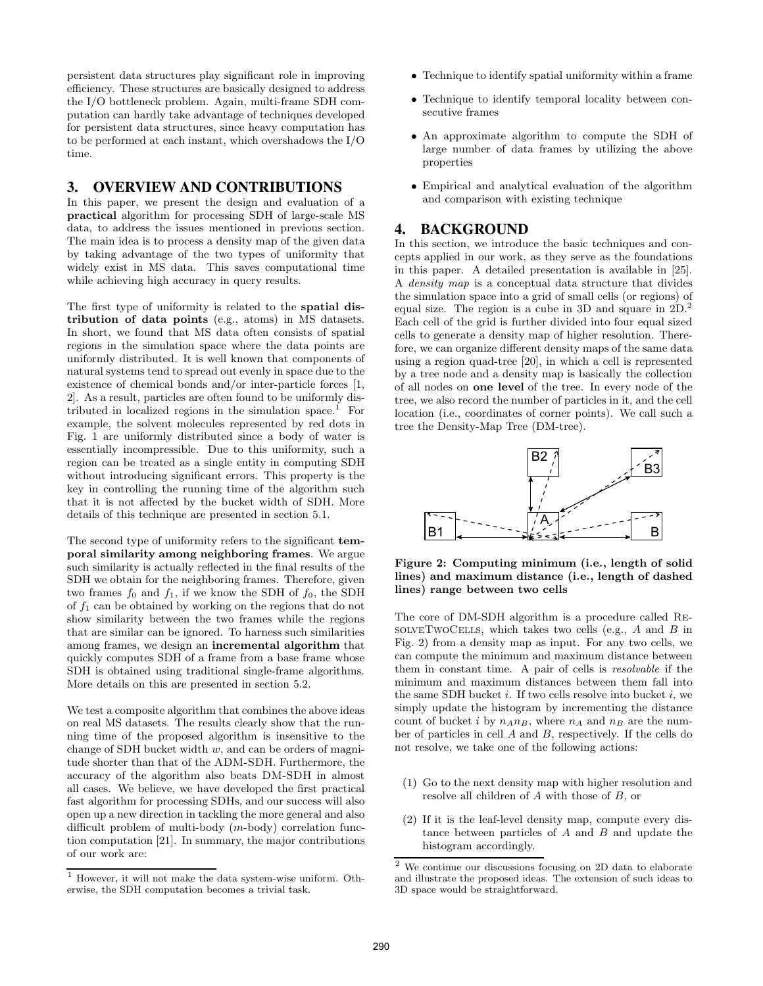persistent data structures play significant role in improving efficiency. These structures are basically designed to address the I/O bottleneck problem. Again, multi-frame SDH computation can hardly take advantage of techniques developed for persistent data structures, since heavy computation has to be performed at each instant, which overshadows the I/O time.

## 3. OVERVIEW AND CONTRIBUTIONS

In this paper, we present the design and evaluation of a practical algorithm for processing SDH of large-scale MS data, to address the issues mentioned in previous section. The main idea is to process a density map of the given data by taking advantage of the two types of uniformity that widely exist in MS data. This saves computational time while achieving high accuracy in query results.

The first type of uniformity is related to the spatial distribution of data points (e.g., atoms) in MS datasets. In short, we found that MS data often consists of spatial regions in the simulation space where the data points are uniformly distributed. It is well known that components of natural systems tend to spread out evenly in space due to the existence of chemical bonds and/or inter-particle forces [1, 2]. As a result, particles are often found to be uniformly distributed in localized regions in the simulation space.<sup>1</sup> For example, the solvent molecules represented by red dots in Fig. 1 are uniformly distributed since a body of water is essentially incompressible. Due to this uniformity, such a region can be treated as a single entity in computing SDH without introducing significant errors. This property is the key in controlling the running time of the algorithm such that it is not affected by the bucket width of SDH. More details of this technique are presented in section 5.1.

The second type of uniformity refers to the significant temporal similarity among neighboring frames. We argue such similarity is actually reflected in the final results of the SDH we obtain for the neighboring frames. Therefore, given two frames  $f_0$  and  $f_1$ , if we know the SDH of  $f_0$ , the SDH of  $f_1$  can be obtained by working on the regions that do not show similarity between the two frames while the regions that are similar can be ignored. To harness such similarities among frames, we design an incremental algorithm that quickly computes SDH of a frame from a base frame whose SDH is obtained using traditional single-frame algorithms. More details on this are presented in section 5.2.

We test a composite algorithm that combines the above ideas on real MS datasets. The results clearly show that the running time of the proposed algorithm is insensitive to the change of SDH bucket width  $w$ , and can be orders of magnitude shorter than that of the ADM-SDH. Furthermore, the accuracy of the algorithm also beats DM-SDH in almost all cases. We believe, we have developed the first practical fast algorithm for processing SDHs, and our success will also open up a new direction in tackling the more general and also difficult problem of multi-body (*m*-body) correlation function computation [21]. In summary, the major contributions of our work are:

- Technique to identify spatial uniformity within a frame
- Technique to identify temporal locality between consecutive frames
- An approximate algorithm to compute the SDH of large number of data frames by utilizing the above properties
- Empirical and analytical evaluation of the algorithm and comparison with existing technique

## 4. BACKGROUND

In this section, we introduce the basic techniques and concepts applied in our work, as they serve as the foundations in this paper. A detailed presentation is available in [25]. A density map is a conceptual data structure that divides the simulation space into a grid of small cells (or regions) of equal size. The region is a cube in 3D and square in 2D.<sup>2</sup> Each cell of the grid is further divided into four equal sized cells to generate a density map of higher resolution. Therefore, we can organize different density maps of the same data using a region quad-tree [20], in which a cell is represented by a tree node and a density map is basically the collection of all nodes on one level of the tree. In every node of the tree, we also record the number of particles in it, and the cell location (i.e., coordinates of corner points). We call such a tree the Density-Map Tree (DM-tree).



Figure 2: Computing minimum (i.e., length of solid lines) and maximum distance (i.e., length of dashed lines) range between two cells

The core of DM-SDH algorithm is a procedure called Re-SOLVETWOCELLS, which takes two cells (e.g.,  $A$  and  $B$  in Fig. 2) from a density map as input. For any two cells, we can compute the minimum and maximum distance between them in constant time. A pair of cells is resolvable if the minimum and maximum distances between them fall into the same SDH bucket  $i$ . If two cells resolve into bucket  $i$ , we simply update the histogram by incrementing the distance count of bucket i by  $n_A n_B$ , where  $n_A$  and  $n_B$  are the number of particles in cell A and B, respectively. If the cells do not resolve, we take one of the following actions:

- (1) Go to the next density map with higher resolution and resolve all children of A with those of B, or
- (2) If it is the leaf-level density map, compute every distance between particles of  $A$  and  $B$  and update the histogram accordingly.

 $^{\rm 1}$  However, it will not make the data system-wise uniform. Otherwise, the SDH computation becomes a trivial task.

 $^2$  We continue our discussions focusing on 2D data to elaborate and illustrate the proposed ideas. The extension of such ideas to 3D space would be straightforward.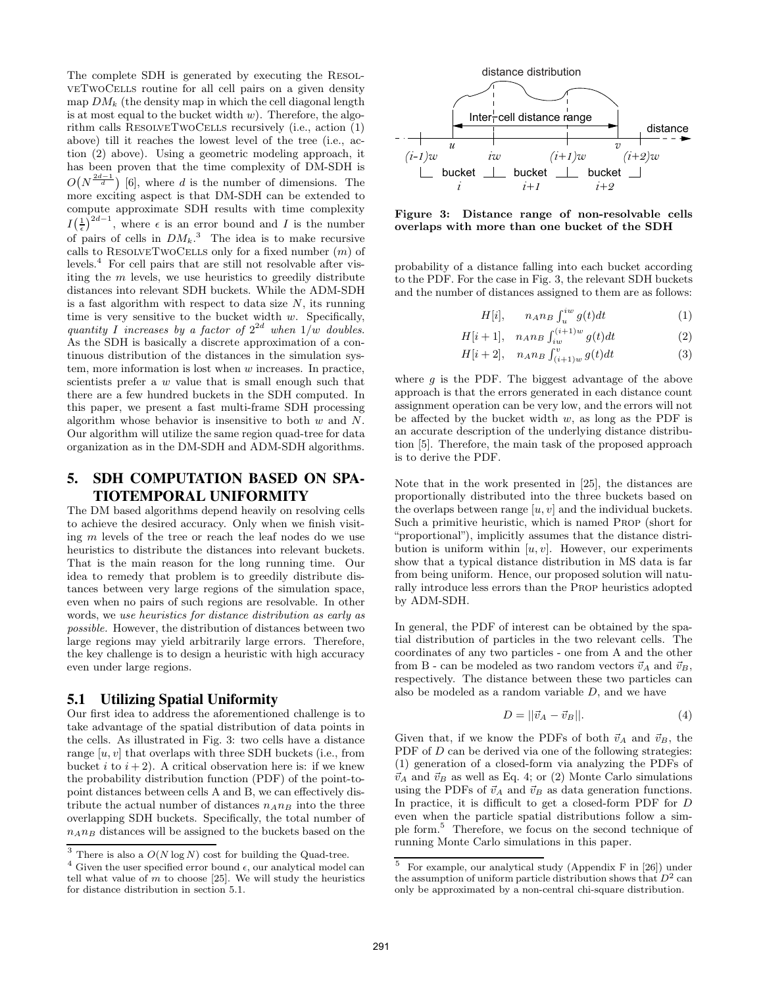The complete SDH is generated by executing the ResolveTwoCells routine for all cell pairs on a given density map  $DM_k$  (the density map in which the cell diagonal length is at most equal to the bucket width  $w$ ). Therefore, the algorithm calls ResolveTwoCells recursively (i.e., action (1) above) till it reaches the lowest level of the tree (i.e., action (2) above). Using a geometric modeling approach, it has been proven that the time complexity of DM-SDH is  $O(N^{\frac{2d-1}{d}})$  [6], where d is the number of dimensions. The more exciting aspect is that DM-SDH can be extended to compute approximate SDH results with time complexity  $I(\frac{1}{\epsilon})^{2d-1}$ , where  $\epsilon$  is an error bound and I is the number of pairs of cells in  $DM_k$ .<sup>3</sup> The idea is to make recursive calls to RESOLVETWOCELLS only for a fixed number  $(m)$  of levels.<sup>4</sup> For cell pairs that are still not resolvable after visiting the  $m$  levels, we use heuristics to greedily distribute distances into relevant SDH buckets. While the ADM-SDH is a fast algorithm with respect to data size  $N$ , its running time is very sensitive to the bucket width  $w$ . Specifically, quantity I increases by a factor of  $2^{2d}$  when  $1/w$  doubles. As the SDH is basically a discrete approximation of a continuous distribution of the distances in the simulation system, more information is lost when  $w$  increases. In practice, scientists prefer a w value that is small enough such that there are a few hundred buckets in the SDH computed. In this paper, we present a fast multi-frame SDH processing algorithm whose behavior is insensitive to both w and N. Our algorithm will utilize the same region quad-tree for data organization as in the DM-SDH and ADM-SDH algorithms.

# 5. SDH COMPUTATION BASED ON SPA-TIOTEMPORAL UNIFORMITY

The DM based algorithms depend heavily on resolving cells to achieve the desired accuracy. Only when we finish visiting m levels of the tree or reach the leaf nodes do we use heuristics to distribute the distances into relevant buckets. That is the main reason for the long running time. Our idea to remedy that problem is to greedily distribute distances between very large regions of the simulation space, even when no pairs of such regions are resolvable. In other words, we use heuristics for distance distribution as early as possible. However, the distribution of distances between two large regions may yield arbitrarily large errors. Therefore, the key challenge is to design a heuristic with high accuracy even under large regions.

## 5.1 Utilizing Spatial Uniformity

Our first idea to address the aforementioned challenge is to take advantage of the spatial distribution of data points in the cells. As illustrated in Fig. 3: two cells have a distance range  $[u, v]$  that overlaps with three SDH buckets (i.e., from bucket i to  $i + 2$ ). A critical observation here is: if we knew the probability distribution function (PDF) of the point-topoint distances between cells A and B, we can effectively distribute the actual number of distances  $n_A n_B$  into the three overlapping SDH buckets. Specifically, the total number of  $n_A n_B$  distances will be assigned to the buckets based on the



Figure 3: Distance range of non-resolvable cells overlaps with more than one bucket of the SDH

probability of a distance falling into each bucket according to the PDF. For the case in Fig. 3, the relevant SDH buckets and the number of distances assigned to them are as follows:

$$
H[i], \qquad n_A n_B \int_u^{iw} g(t) dt \tag{1}
$$

$$
H[i+1], \quad n_A n_B \int_{iw}^{(i+1)w} g(t)dt \tag{2}
$$

$$
H[i+2], \quad n_{A}n_{B} \int_{(i+1)w}^{v} g(t)dt \tag{3}
$$

where  $g$  is the PDF. The biggest advantage of the above approach is that the errors generated in each distance count assignment operation can be very low, and the errors will not be affected by the bucket width  $w$ , as long as the PDF is an accurate description of the underlying distance distribution [5]. Therefore, the main task of the proposed approach is to derive the PDF.

Note that in the work presented in [25], the distances are proportionally distributed into the three buckets based on the overlaps between range  $[u, v]$  and the individual buckets. Such a primitive heuristic, which is named Prop (short for "proportional"), implicitly assumes that the distance distribution is uniform within  $[u, v]$ . However, our experiments show that a typical distance distribution in MS data is far from being uniform. Hence, our proposed solution will naturally introduce less errors than the Prop heuristics adopted by ADM-SDH.

In general, the PDF of interest can be obtained by the spatial distribution of particles in the two relevant cells. The coordinates of any two particles - one from A and the other from B - can be modeled as two random vectors  $\vec{v}_A$  and  $\vec{v}_B$ , respectively. The distance between these two particles can also be modeled as a random variable  $D$ , and we have

$$
D = ||\vec{v}_A - \vec{v}_B||. \tag{4}
$$

Given that, if we know the PDFs of both  $\vec{v}_A$  and  $\vec{v}_B$ , the PDF of D can be derived via one of the following strategies: (1) generation of a closed-form via analyzing the PDFs of  $\vec{v}_A$  and  $\vec{v}_B$  as well as Eq. 4; or (2) Monte Carlo simulations using the PDFs of  $\vec{v}_A$  and  $\vec{v}_B$  as data generation functions. In practice, it is difficult to get a closed-form PDF for D even when the particle spatial distributions follow a simple form.<sup>5</sup> Therefore, we focus on the second technique of running Monte Carlo simulations in this paper.

 $^3$  There is also a  $\mathcal{O}(N\log N)$  cost for building the Quad-tree.

 $^4$  Given the user specified error bound  $\epsilon,$  our analytical model can tell what value of  $m$  to choose [25]. We will study the heuristics for distance distribution in section 5.1.

 $5$  For example, our analytical study (Appendix F in [26]) under the assumption of uniform particle distribution shows that  $D^2$  can only be approximated by a non-central chi-square distribution.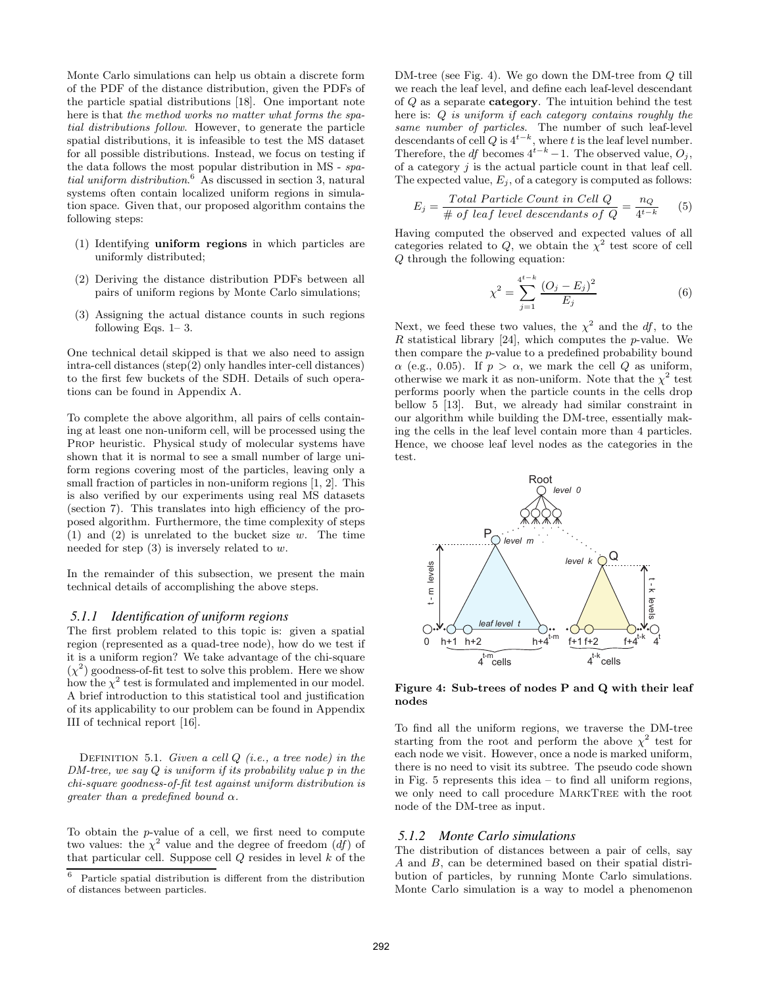Monte Carlo simulations can help us obtain a discrete form of the PDF of the distance distribution, given the PDFs of the particle spatial distributions [18]. One important note here is that the method works no matter what forms the spatial distributions follow. However, to generate the particle spatial distributions, it is infeasible to test the MS dataset for all possible distributions. Instead, we focus on testing if the data follows the most popular distribution in MS - spatial uniform distribution.<sup>6</sup> As discussed in section 3, natural systems often contain localized uniform regions in simulation space. Given that, our proposed algorithm contains the following steps:

- (1) Identifying uniform regions in which particles are uniformly distributed;
- (2) Deriving the distance distribution PDFs between all pairs of uniform regions by Monte Carlo simulations;
- (3) Assigning the actual distance counts in such regions following Eqs.  $1-3$ .

One technical detail skipped is that we also need to assign intra-cell distances (step(2) only handles inter-cell distances) to the first few buckets of the SDH. Details of such operations can be found in Appendix A.

To complete the above algorithm, all pairs of cells containing at least one non-uniform cell, will be processed using the Prop heuristic. Physical study of molecular systems have shown that it is normal to see a small number of large uniform regions covering most of the particles, leaving only a small fraction of particles in non-uniform regions [1, 2]. This is also verified by our experiments using real MS datasets (section 7). This translates into high efficiency of the proposed algorithm. Furthermore, the time complexity of steps (1) and (2) is unrelated to the bucket size  $w$ . The time needed for step  $(3)$  is inversely related to w.

In the remainder of this subsection, we present the main technical details of accomplishing the above steps.

#### *5.1.1 Identification of uniform regions*

The first problem related to this topic is: given a spatial region (represented as a quad-tree node), how do we test if it is a uniform region? We take advantage of the chi-square  $(\chi^2)$  goodness-of-fit test to solve this problem. Here we show how the  $\chi^2$  test is formulated and implemented in our model. A brief introduction to this statistical tool and justification of its applicability to our problem can be found in Appendix III of technical report [16].

DEFINITION 5.1. Given a cell  $Q$  (i.e., a tree node) in the  $DM$ -tree, we say  $Q$  is uniform if its probability value  $p$  in the chi-square goodness-of-fit test against uniform distribution is qreater than a predefined bound  $\alpha$ .

To obtain the p-value of a cell, we first need to compute two values: the  $\chi^2$  value and the degree of freedom  $(df)$  of that particular cell. Suppose cell  $Q$  resides in level  $k$  of the DM-tree (see Fig. 4). We go down the DM-tree from  $Q$  till we reach the leaf level, and define each leaf-level descendant of Q as a separate category. The intuition behind the test here is: Q is uniform if each category contains roughly the same number of particles. The number of such leaf-level descendants of cell  $Q$  is  $4^{t-k}$ , where t is the leaf level number. Therefore, the *df* becomes  $4^{t-k} - 1$ . The observed value,  $O_i$ , of a category  $j$  is the actual particle count in that leaf cell. The expected value,  $E_i$ , of a category is computed as follows:

$$
E_j = \frac{Total \ Particle \ Count \ in \ Cell \ Q}{\# \ of \ leaf \ level \ descendants \ of \ Q} = \frac{n_Q}{4^{t-k}} \tag{5}
$$

Having computed the observed and expected values of all categories related to  $Q$ , we obtain the  $\chi^2$  test score of cell Q through the following equation:

$$
\chi^2 = \sum_{j=1}^{4^{t-k}} \frac{(O_j - E_j)^2}{E_j} \tag{6}
$$

Next, we feed these two values, the  $\chi^2$  and the df, to the  $R$  statistical library [24], which computes the  $p$ -value. We then compare the p-value to a predefined probability bound  $\alpha$  (e.g., 0.05). If  $p > \alpha$ , we mark the cell Q as uniform, otherwise we mark it as non-uniform. Note that the  $\chi^2$  test performs poorly when the particle counts in the cells drop bellow 5 [13]. But, we already had similar constraint in our algorithm while building the DM-tree, essentially making the cells in the leaf level contain more than 4 particles. Hence, we choose leaf level nodes as the categories in the test.



Figure 4: Sub-trees of nodes P and Q with their leaf nodes

To find all the uniform regions, we traverse the DM-tree starting from the root and perform the above  $\chi^2$  test for each node we visit. However, once a node is marked uniform, there is no need to visit its subtree. The pseudo code shown in Fig. 5 represents this idea – to find all uniform regions, we only need to call procedure MarkTree with the root node of the DM-tree as input.

#### *5.1.2 Monte Carlo simulations*

The distribution of distances between a pair of cells, say A and B, can be determined based on their spatial distribution of particles, by running Monte Carlo simulations. Monte Carlo simulation is a way to model a phenomenon

 $6$  Particle spatial distribution is different from the distribution of distances between particles.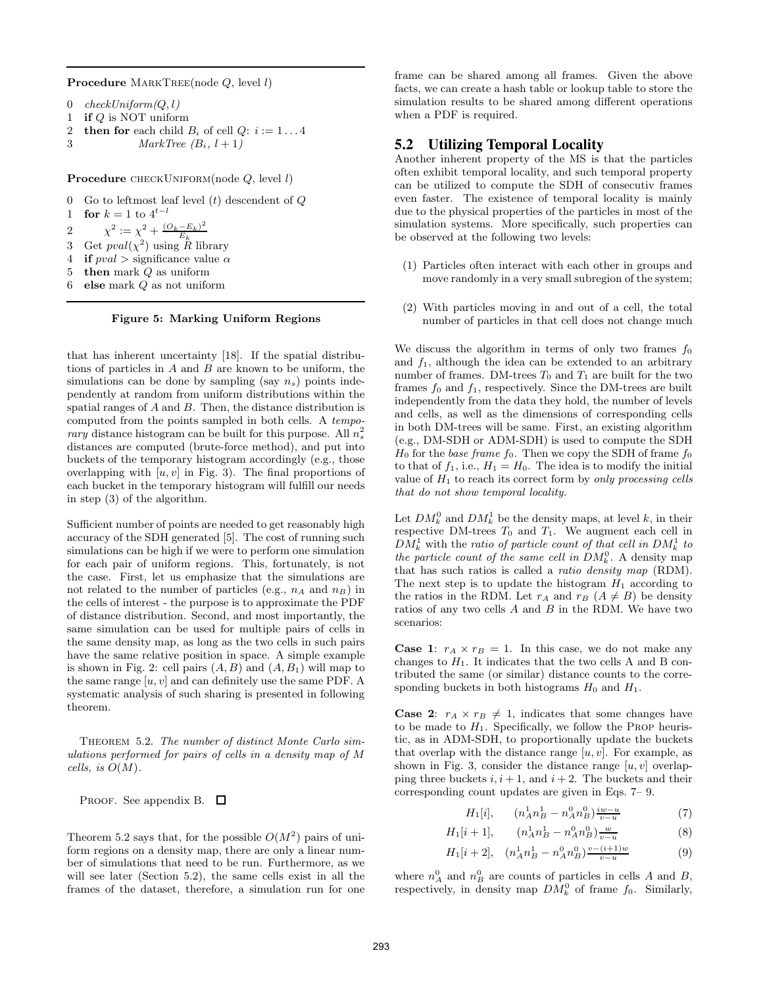Procedure MARKTREE(node  $Q$ , level  $l$ )

```
0 checkUniform(Q, l)
```
- 1 if Q is NOT uniform
- 2 then for each child  $B_i$  of cell  $Q: i := 1 \dots 4$
- 3 MarkTree  $(B_i, l+1)$

Procedure CHECKUNIFORM(node  $Q$ , level  $l$ )

- 0 Go to leftmost leaf level  $(t)$  descendent of  $Q$ 1 **for**  $k = 1$  to  $4^{t-l}$ 2  $\chi^2 := \chi^2 + \frac{(O_k - E_k)^2}{E_k}$  $E_k$ 3 Get  $pval(\chi^2)$  using  $\ddot{R}$  library 4 if  $pval >$  significance value  $\alpha$
- 5 then mark  $Q$  as uniform
- 6 else mark Q as not uniform

#### Figure 5: Marking Uniform Regions

that has inherent uncertainty [18]. If the spatial distributions of particles in  $A$  and  $B$  are known to be uniform, the simulations can be done by sampling (say  $n<sub>s</sub>$ ) points independently at random from uniform distributions within the spatial ranges of A and B. Then, the distance distribution is computed from the points sampled in both cells. A tempo*rary* distance histogram can be built for this purpose. All  $n_s^2$ distances are computed (brute-force method), and put into buckets of the temporary histogram accordingly (e.g., those overlapping with  $[u, v]$  in Fig. 3). The final proportions of each bucket in the temporary histogram will fulfill our needs in step (3) of the algorithm.

Sufficient number of points are needed to get reasonably high accuracy of the SDH generated [5]. The cost of running such simulations can be high if we were to perform one simulation for each pair of uniform regions. This, fortunately, is not the case. First, let us emphasize that the simulations are not related to the number of particles (e.g.,  $n_A$  and  $n_B$ ) in the cells of interest - the purpose is to approximate the PDF of distance distribution. Second, and most importantly, the same simulation can be used for multiple pairs of cells in the same density map, as long as the two cells in such pairs have the same relative position in space. A simple example is shown in Fig. 2: cell pairs  $(A, B)$  and  $(A, B_1)$  will map to the same range  $[u, v]$  and can definitely use the same PDF. A systematic analysis of such sharing is presented in following theorem.

THEOREM 5.2. The number of distinct Monte Carlo simulations performed for pairs of cells in a density map of M cells, is  $O(M)$ .

PROOF. See appendix B.  $\Box$ 

Theorem 5.2 says that, for the possible  $O(M^2)$  pairs of uniform regions on a density map, there are only a linear number of simulations that need to be run. Furthermore, as we will see later (Section 5.2), the same cells exist in all the frames of the dataset, therefore, a simulation run for one

frame can be shared among all frames. Given the above facts, we can create a hash table or lookup table to store the simulation results to be shared among different operations when a PDF is required.

## 5.2 Utilizing Temporal Locality

Another inherent property of the MS is that the particles often exhibit temporal locality, and such temporal property can be utilized to compute the SDH of consecutiv frames even faster. The existence of temporal locality is mainly due to the physical properties of the particles in most of the simulation systems. More specifically, such properties can be observed at the following two levels:

- (1) Particles often interact with each other in groups and move randomly in a very small subregion of the system;
- (2) With particles moving in and out of a cell, the total number of particles in that cell does not change much

We discuss the algorithm in terms of only two frames  $f_0$ and  $f_1$ , although the idea can be extended to an arbitrary number of frames. DM-trees  $T_0$  and  $T_1$  are built for the two frames  $f_0$  and  $f_1$ , respectively. Since the DM-trees are built independently from the data they hold, the number of levels and cells, as well as the dimensions of corresponding cells in both DM-trees will be same. First, an existing algorithm (e.g., DM-SDH or ADM-SDH) is used to compute the SDH  $H_0$  for the base frame  $f_0$ . Then we copy the SDH of frame  $f_0$ to that of  $f_1$ , i.e.,  $H_1 = H_0$ . The idea is to modify the initial value of  $H_1$  to reach its correct form by only processing cells that do not show temporal locality.

Let  $DM_k^0$  and  $DM_k^1$  be the density maps, at level k, in their respective DM-trees  $T_0$  and  $T_1$ . We augment each cell in  $DM_k^1$  with the ratio of particle count of that cell in  $DM_k^1$  to the particle count of the same cell in  $DM_k^0$ . A density map that has such ratios is called a ratio density map (RDM). The next step is to update the histogram  $H_1$  according to the ratios in the RDM. Let  $r_A$  and  $r_B$   $(A \neq B)$  be density ratios of any two cells  $A$  and  $B$  in the RDM. We have two scenarios:

**Case 1:**  $r_A \times r_B = 1$ . In this case, we do not make any changes to  $H_1$ . It indicates that the two cells A and B contributed the same (or similar) distance counts to the corresponding buckets in both histograms  $H_0$  and  $H_1$ .

**Case 2:**  $r_A \times r_B \neq 1$ , indicates that some changes have to be made to  $H_1$ . Specifically, we follow the PROP heuristic, as in ADM-SDH, to proportionally update the buckets that overlap with the distance range  $[u, v]$ . For example, as shown in Fig. 3, consider the distance range  $[u, v]$  overlapping three buckets  $i, i + 1$ , and  $i + 2$ . The buckets and their corresponding count updates are given in Eqs. 7– 9.

$$
H_1[i], \qquad (n_A^1 n_B^1 - n_A^0 n_B^0) \frac{i w - u}{v - u} \tag{7}
$$

$$
H_1[i+1], \qquad (n_A^1 n_B^1 - n_A^0 n_B^0) \frac{w}{v-u} \tag{8}
$$

$$
H_1[i+2], \quad (n_A^1 n_B^1 - n_A^0 n_B^0) \frac{v - (i+1)w}{v - u} \tag{9}
$$

where  $n_A^0$  and  $n_B^0$  are counts of particles in cells A and B, respectively, in density map  $DM_k^0$  of frame  $f_0$ . Similarly,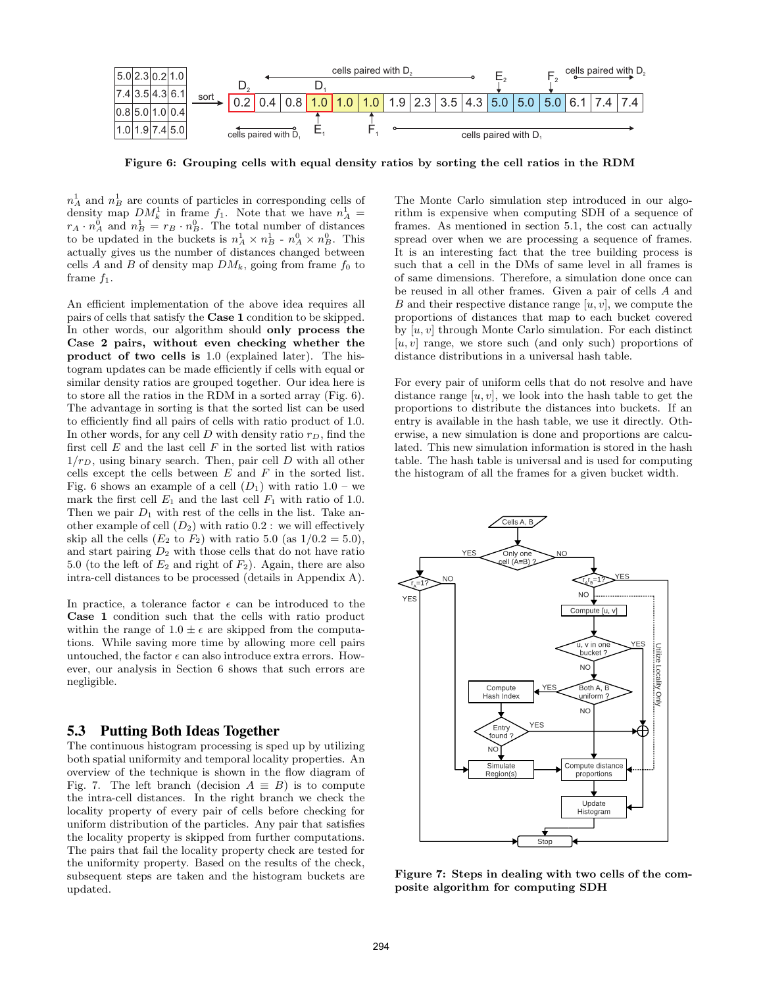

Figure 6: Grouping cells with equal density ratios by sorting the cell ratios in the RDM

 $n_A^1$  and  $n_B^1$  are counts of particles in corresponding cells of density map  $DM_k^1$  in frame  $f_1$ . Note that we have  $n_A^1 =$  $r_A \cdot n_A^0$  and  $n_B^1 = r_B \cdot n_B^0$ . The total number of distances to be updated in the buckets is  $n_A^1 \times n_B^1 - n_A^0 \times n_B^0$ . This actually gives us the number of distances changed between cells A and B of density map  $DM_k$ , going from frame  $f_0$  to frame  $f_1$ .

An efficient implementation of the above idea requires all pairs of cells that satisfy the Case 1 condition to be skipped. In other words, our algorithm should only process the Case 2 pairs, without even checking whether the product of two cells is 1.0 (explained later). The histogram updates can be made efficiently if cells with equal or similar density ratios are grouped together. Our idea here is to store all the ratios in the RDM in a sorted array (Fig. 6). The advantage in sorting is that the sorted list can be used to efficiently find all pairs of cells with ratio product of 1.0. In other words, for any cell D with density ratio  $r_D$ , find the first cell  $E$  and the last cell  $F$  in the sorted list with ratios  $1/r_D$ , using binary search. Then, pair cell D with all other cells except the cells between  $E$  and  $F$  in the sorted list. Fig. 6 shows an example of a cell  $(D_1)$  with ratio  $1.0$  – we mark the first cell  $E_1$  and the last cell  $F_1$  with ratio of 1.0. Then we pair  $D_1$  with rest of the cells in the list. Take another example of cell  $(D_2)$  with ratio 0.2 : we will effectively skip all the cells  $(E_2 \text{ to } F_2)$  with ratio 5.0 (as  $1/0.2 = 5.0$ ), and start pairing  $D_2$  with those cells that do not have ratio 5.0 (to the left of  $E_2$  and right of  $F_2$ ). Again, there are also intra-cell distances to be processed (details in Appendix A).

In practice, a tolerance factor  $\epsilon$  can be introduced to the Case 1 condition such that the cells with ratio product within the range of  $1.0 \pm \epsilon$  are skipped from the computations. While saving more time by allowing more cell pairs untouched, the factor  $\epsilon$  can also introduce extra errors. However, our analysis in Section 6 shows that such errors are negligible.

#### 5.3 Putting Both Ideas Together

The continuous histogram processing is sped up by utilizing both spatial uniformity and temporal locality properties. An overview of the technique is shown in the flow diagram of Fig. 7. The left branch (decision  $A \equiv B$ ) is to compute the intra-cell distances. In the right branch we check the locality property of every pair of cells before checking for uniform distribution of the particles. Any pair that satisfies the locality property is skipped from further computations. The pairs that fail the locality property check are tested for the uniformity property. Based on the results of the check, subsequent steps are taken and the histogram buckets are updated.

The Monte Carlo simulation step introduced in our algorithm is expensive when computing SDH of a sequence of frames. As mentioned in section 5.1, the cost can actually spread over when we are processing a sequence of frames. It is an interesting fact that the tree building process is such that a cell in the DMs of same level in all frames is of same dimensions. Therefore, a simulation done once can be reused in all other frames. Given a pair of cells A and B and their respective distance range  $[u, v]$ , we compute the proportions of distances that map to each bucket covered by  $[u, v]$  through Monte Carlo simulation. For each distinct  $[u, v]$  range, we store such (and only such) proportions of distance distributions in a universal hash table.

For every pair of uniform cells that do not resolve and have distance range  $[u, v]$ , we look into the hash table to get the proportions to distribute the distances into buckets. If an entry is available in the hash table, we use it directly. Otherwise, a new simulation is done and proportions are calculated. This new simulation information is stored in the hash table. The hash table is universal and is used for computing the histogram of all the frames for a given bucket width.



Figure 7: Steps in dealing with two cells of the composite algorithm for computing SDH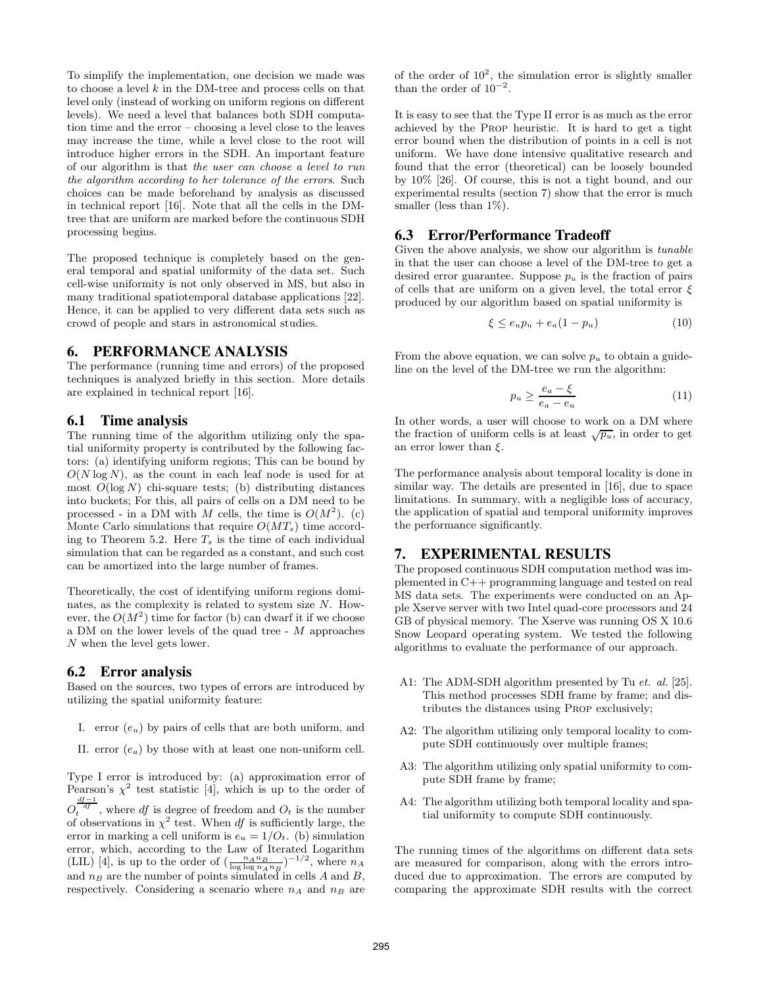To simplify the implementation, one decision we made was to choose a level  $k$  in the DM-tree and process cells on that level only (instead of working on uniform regions on different levels). We need a level that balances both SDH computation time and the error – choosing a level close to the leaves may increase the time, while a level close to the root will introduce higher errors in the SDH. An important feature of our algorithm is that the user can choose a level to run the algorithm according to her tolerance of the errors. Such choices can be made beforehand by analysis as discussed in technical report [16]. Note that all the cells in the DMtree that are uniform are marked before the continuous SDH processing begins.

The proposed technique is completely based on the general temporal and spatial uniformity of the data set. Such cell-wise uniformity is not only observed in MS, but also in many traditional spatiotemporal database applications [22]. Hence, it can be applied to very different data sets such as crowd of people and stars in astronomical studies.

## 6. PERFORMANCE ANALYSIS

The performance (running time and errors) of the proposed techniques is analyzed briefly in this section. More details are explained in technical report [16].

#### 6.1 Time analysis

The running time of the algorithm utilizing only the spatial uniformity property is contributed by the following factors: (a) identifying uniform regions; This can be bound by  $O(N \log N)$ , as the count in each leaf node is used for at most  $O(\log N)$  chi-square tests; (b) distributing distances into buckets; For this, all pairs of cells on a DM need to be processed - in a DM with M cells, the time is  $O(M^2)$ . (c) Monte Carlo simulations that require  $O(MT_s)$  time according to Theorem 5.2. Here  $T_s$  is the time of each individual simulation that can be regarded as a constant, and such cost can be amortized into the large number of frames.

Theoretically, the cost of identifying uniform regions dominates, as the complexity is related to system size N. However, the  $O(M^2)$  time for factor (b) can dwarf it if we choose a DM on the lower levels of the quad tree - M approaches N when the level gets lower.

#### 6.2 Error analysis

Based on the sources, two types of errors are introduced by utilizing the spatial uniformity feature:

- I. error  $(e_u)$  by pairs of cells that are both uniform, and
- II. error  $(e_a)$  by those with at least one non-uniform cell.

Type I error is introduced by: (a) approximation error of Pearson's  $\chi^2$  test statistic [4], which is up to the order of  $O_t^{\frac{df-1}{df}}$ , where df is degree of freedom and  $O_t$  is the number of observations in  $\chi^2$  test. When df is sufficiently large, the error in marking a cell uniform is  $e_u = 1/O_t$ . (b) simulation error, which, according to the Law of Iterated Logarithm (LIL) [4], is up to the order of  $\left(\frac{n_A n_B}{\log \log n_A n_B}\right)^{-1/2}$ , where  $n_A$ and  $n_B$  are the number of points simulated in cells  $A$  and  $B$ , respectively. Considering a scenario where  $n_A$  and  $n_B$  are of the order of  $10^2$ , the simulation error is slightly smaller than the order of  $10^{-2}$ .

It is easy to see that the Type II error is as much as the error achieved by the Prop heuristic. It is hard to get a tight error bound when the distribution of points in a cell is not uniform. We have done intensive qualitative research and found that the error (theoretical) can be loosely bounded by 10% [26]. Of course, this is not a tight bound, and our experimental results (section 7) show that the error is much smaller (less than  $1\%$ ).

#### 6.3 Error/Performance Tradeoff

Given the above analysis, we show our algorithm is tunable in that the user can choose a level of the DM-tree to get a desired error guarantee. Suppose  $p_u$  is the fraction of pairs of cells that are uniform on a given level, the total error  $\xi$ produced by our algorithm based on spatial uniformity is

$$
\xi \le e_u p_u + e_a (1 - p_u) \tag{10}
$$

From the above equation, we can solve  $p_u$  to obtain a guideline on the level of the DM-tree we run the algorithm:

$$
p_u \ge \frac{e_a - \xi}{e_a - e_u} \tag{11}
$$

In other words, a user will choose to work on a DM where the fraction of uniform cells is at least  $\sqrt{p_u}$ , in order to get an error lower than  $\xi$ .

The performance analysis about temporal locality is done in similar way. The details are presented in [16], due to space limitations. In summary, with a negligible loss of accuracy, the application of spatial and temporal uniformity improves the performance significantly.

## 7. EXPERIMENTAL RESULTS

The proposed continuous SDH computation method was implemented in C++ programming language and tested on real MS data sets. The experiments were conducted on an Apple Xserve server with two Intel quad-core processors and 24 GB of physical memory. The Xserve was running OS X 10.6 Snow Leopard operating system. We tested the following algorithms to evaluate the performance of our approach.

- A1: The ADM-SDH algorithm presented by Tu et. al. [25]. This method processes SDH frame by frame; and distributes the distances using Prop exclusively;
- A2: The algorithm utilizing only temporal locality to compute SDH continuously over multiple frames;
- A3: The algorithm utilizing only spatial uniformity to compute SDH frame by frame;
- A4: The algorithm utilizing both temporal locality and spatial uniformity to compute SDH continuously.

The running times of the algorithms on different data sets are measured for comparison, along with the errors introduced due to approximation. The errors are computed by comparing the approximate SDH results with the correct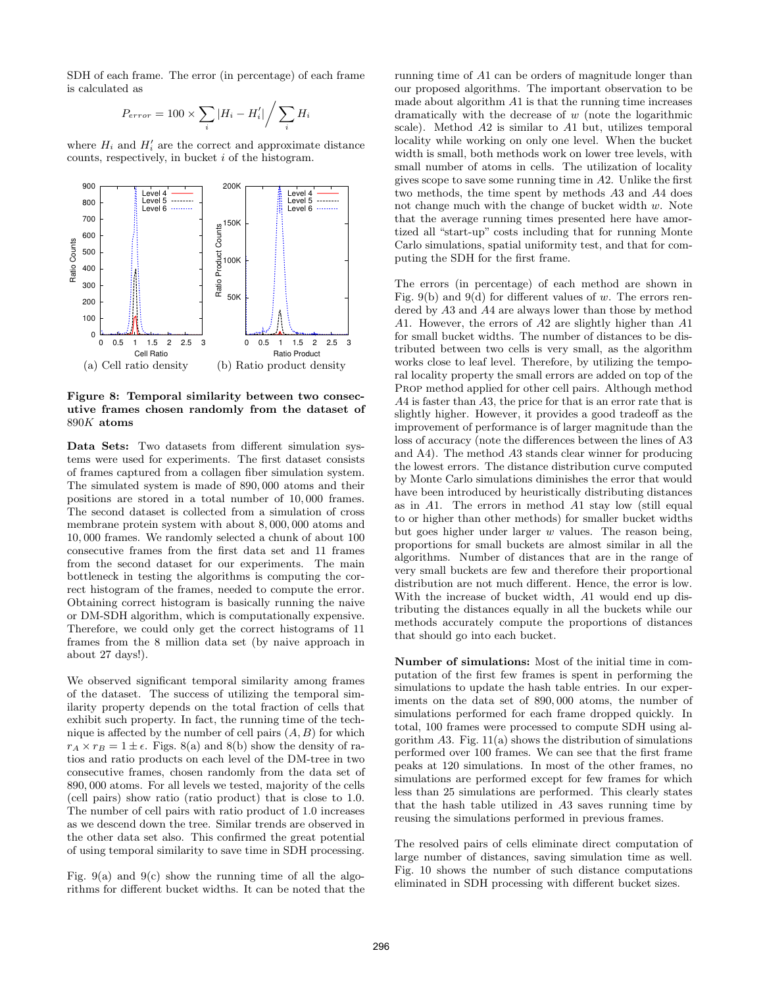SDH of each frame. The error (in percentage) of each frame is calculated as

$$
P_{error} = 100 \times \sum_{i} |H_i - H'_i| / \sum_{i} H_i
$$

where  $H_i$  and  $H'_i$  are the correct and approximate distance counts, respectively, in bucket i of the histogram.



Figure 8: Temporal similarity between two consecutive frames chosen randomly from the dataset of  $890K$  atoms

Data Sets: Two datasets from different simulation systems were used for experiments. The first dataset consists of frames captured from a collagen fiber simulation system. The simulated system is made of 890, 000 atoms and their positions are stored in a total number of 10, 000 frames. The second dataset is collected from a simulation of cross membrane protein system with about 8, 000, 000 atoms and 10, 000 frames. We randomly selected a chunk of about 100 consecutive frames from the first data set and 11 frames from the second dataset for our experiments. The main bottleneck in testing the algorithms is computing the correct histogram of the frames, needed to compute the error. Obtaining correct histogram is basically running the naive or DM-SDH algorithm, which is computationally expensive. Therefore, we could only get the correct histograms of 11 frames from the 8 million data set (by naive approach in about 27 days!).

We observed significant temporal similarity among frames of the dataset. The success of utilizing the temporal similarity property depends on the total fraction of cells that exhibit such property. In fact, the running time of the technique is affected by the number of cell pairs  $(A, B)$  for which  $r_A \times r_B = 1 \pm \epsilon$ . Figs. 8(a) and 8(b) show the density of ratios and ratio products on each level of the DM-tree in two consecutive frames, chosen randomly from the data set of 890, 000 atoms. For all levels we tested, majority of the cells (cell pairs) show ratio (ratio product) that is close to 1.0. The number of cell pairs with ratio product of 1.0 increases as we descend down the tree. Similar trends are observed in the other data set also. This confirmed the great potential of using temporal similarity to save time in SDH processing.

Fig. 9(a) and 9(c) show the running time of all the algorithms for different bucket widths. It can be noted that the running time of A1 can be orders of magnitude longer than our proposed algorithms. The important observation to be made about algorithm A1 is that the running time increases dramatically with the decrease of w (note the logarithmic scale). Method A2 is similar to A1 but, utilizes temporal locality while working on only one level. When the bucket width is small, both methods work on lower tree levels, with small number of atoms in cells. The utilization of locality gives scope to save some running time in A2. Unlike the first two methods, the time spent by methods A3 and A4 does not change much with the change of bucket width w. Note that the average running times presented here have amortized all "start-up" costs including that for running Monte Carlo simulations, spatial uniformity test, and that for computing the SDH for the first frame.

The errors (in percentage) of each method are shown in Fig. 9(b) and 9(d) for different values of w. The errors rendered by A3 and A4 are always lower than those by method A1. However, the errors of A2 are slightly higher than A1 for small bucket widths. The number of distances to be distributed between two cells is very small, as the algorithm works close to leaf level. Therefore, by utilizing the temporal locality property the small errors are added on top of the Prop method applied for other cell pairs. Although method A4 is faster than A3, the price for that is an error rate that is slightly higher. However, it provides a good tradeoff as the improvement of performance is of larger magnitude than the loss of accuracy (note the differences between the lines of A3 and A4). The method A3 stands clear winner for producing the lowest errors. The distance distribution curve computed by Monte Carlo simulations diminishes the error that would have been introduced by heuristically distributing distances as in A1. The errors in method A1 stay low (still equal to or higher than other methods) for smaller bucket widths but goes higher under larger w values. The reason being, proportions for small buckets are almost similar in all the algorithms. Number of distances that are in the range of very small buckets are few and therefore their proportional distribution are not much different. Hence, the error is low. With the increase of bucket width, A1 would end up distributing the distances equally in all the buckets while our methods accurately compute the proportions of distances that should go into each bucket.

Number of simulations: Most of the initial time in computation of the first few frames is spent in performing the simulations to update the hash table entries. In our experiments on the data set of 890, 000 atoms, the number of simulations performed for each frame dropped quickly. In total, 100 frames were processed to compute SDH using algorithm  $A3$ . Fig. 11(a) shows the distribution of simulations performed over 100 frames. We can see that the first frame peaks at 120 simulations. In most of the other frames, no simulations are performed except for few frames for which less than 25 simulations are performed. This clearly states that the hash table utilized in A3 saves running time by reusing the simulations performed in previous frames.

The resolved pairs of cells eliminate direct computation of large number of distances, saving simulation time as well. Fig. 10 shows the number of such distance computations eliminated in SDH processing with different bucket sizes.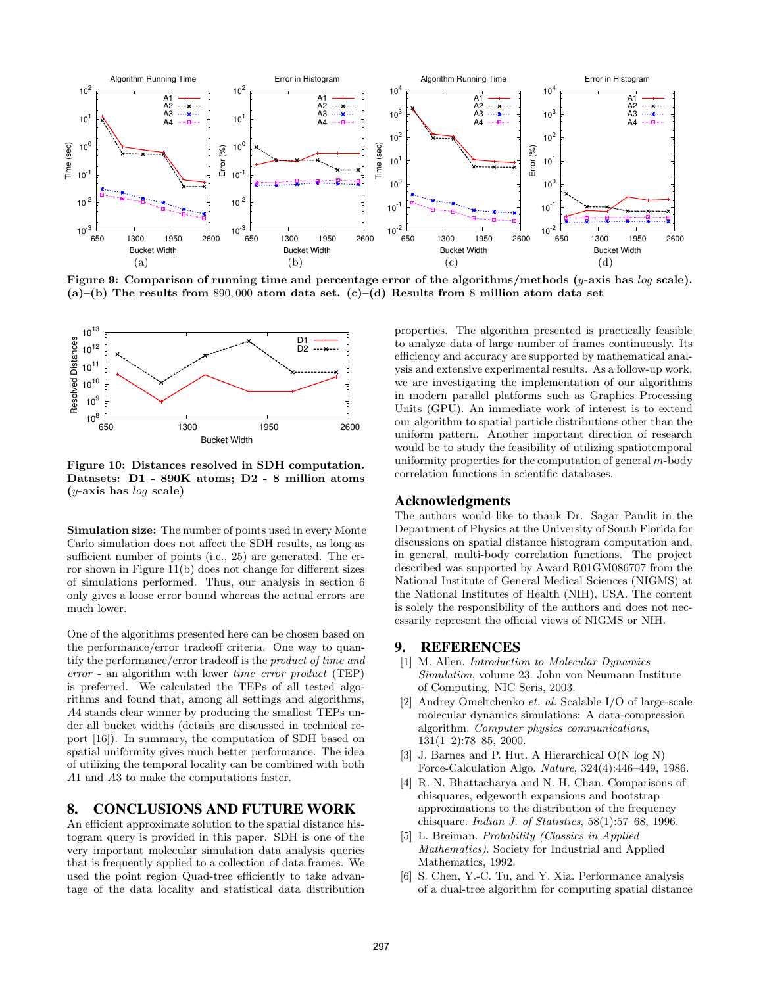

Figure 9: Comparison of running time and percentage error of the algorithms/methods ( $y$ -axis has log scale). (a)–(b) The results from 890,000 atom data set. (c)–(d) Results from 8 million atom data set



Figure 10: Distances resolved in SDH computation. Datasets: D1 - 890K atoms; D2 - 8 million atoms  $(y\text{-axis has }log \text{ scale})$ 

Simulation size: The number of points used in every Monte Carlo simulation does not affect the SDH results, as long as sufficient number of points (i.e., 25) are generated. The error shown in Figure 11(b) does not change for different sizes of simulations performed. Thus, our analysis in section 6 only gives a loose error bound whereas the actual errors are much lower.

One of the algorithms presented here can be chosen based on the performance/error tradeoff criteria. One way to quantify the performance/error tradeoff is the product of time and  $error - an algorithm with lower time-error product (TEP)$ is preferred. We calculated the TEPs of all tested algorithms and found that, among all settings and algorithms, A4 stands clear winner by producing the smallest TEPs under all bucket widths (details are discussed in technical report [16]). In summary, the computation of SDH based on spatial uniformity gives much better performance. The idea of utilizing the temporal locality can be combined with both A1 and A3 to make the computations faster.

#### 8. CONCLUSIONS AND FUTURE WORK

An efficient approximate solution to the spatial distance histogram query is provided in this paper. SDH is one of the very important molecular simulation data analysis queries that is frequently applied to a collection of data frames. We used the point region Quad-tree efficiently to take advantage of the data locality and statistical data distribution

properties. The algorithm presented is practically feasible to analyze data of large number of frames continuously. Its efficiency and accuracy are supported by mathematical analysis and extensive experimental results. As a follow-up work, we are investigating the implementation of our algorithms in modern parallel platforms such as Graphics Processing Units (GPU). An immediate work of interest is to extend our algorithm to spatial particle distributions other than the uniform pattern. Another important direction of research would be to study the feasibility of utilizing spatiotemporal uniformity properties for the computation of general  $m$ -body correlation functions in scientific databases.

#### Acknowledgments

The authors would like to thank Dr. Sagar Pandit in the Department of Physics at the University of South Florida for discussions on spatial distance histogram computation and, in general, multi-body correlation functions. The project described was supported by Award R01GM086707 from the National Institute of General Medical Sciences (NIGMS) at the National Institutes of Health (NIH), USA. The content is solely the responsibility of the authors and does not necessarily represent the official views of NIGMS or NIH.

### 9. REFERENCES

- [1] M. Allen. Introduction to Molecular Dynamics Simulation, volume 23. John von Neumann Institute of Computing, NIC Seris, 2003.
- [2] Andrey Omeltchenko et. al. Scalable I/O of large-scale molecular dynamics simulations: A data-compression algorithm. Computer physics communications, 131(1–2):78–85, 2000.
- [3] J. Barnes and P. Hut. A Hierarchical O(N log N) Force-Calculation Algo. Nature, 324(4):446–449, 1986.
- [4] R. N. Bhattacharya and N. H. Chan. Comparisons of chisquares, edgeworth expansions and bootstrap approximations to the distribution of the frequency chisquare. Indian J. of Statistics, 58(1):57–68, 1996.
- [5] L. Breiman. Probability (Classics in Applied Mathematics). Society for Industrial and Applied Mathematics, 1992.
- [6] S. Chen, Y.-C. Tu, and Y. Xia. Performance analysis of a dual-tree algorithm for computing spatial distance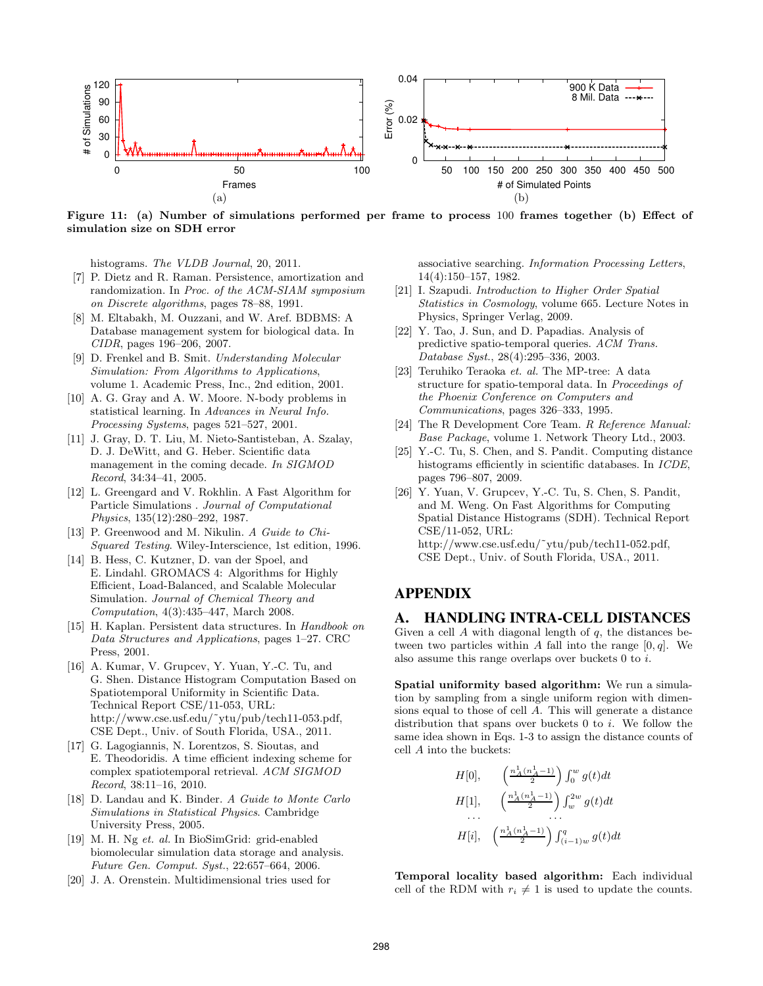

Figure 11: (a) Number of simulations performed per frame to process 100 frames together (b) Effect of simulation size on SDH error

histograms. The VLDB Journal, 20, 2011.

- [7] P. Dietz and R. Raman. Persistence, amortization and randomization. In Proc. of the ACM-SIAM symposium on Discrete algorithms, pages 78–88, 1991.
- [8] M. Eltabakh, M. Ouzzani, and W. Aref. BDBMS: A Database management system for biological data. In CIDR, pages 196–206, 2007.
- [9] D. Frenkel and B. Smit. Understanding Molecular Simulation: From Algorithms to Applications, volume 1. Academic Press, Inc., 2nd edition, 2001.
- [10] A. G. Gray and A. W. Moore. N-body problems in statistical learning. In Advances in Neural Info. Processing Systems, pages 521–527, 2001.
- [11] J. Gray, D. T. Liu, M. Nieto-Santisteban, A. Szalay, D. J. DeWitt, and G. Heber. Scientific data management in the coming decade. In SIGMOD Record, 34:34–41, 2005.
- [12] L. Greengard and V. Rokhlin. A Fast Algorithm for Particle Simulations . Journal of Computational Physics, 135(12):280–292, 1987.
- [13] P. Greenwood and M. Nikulin. A Guide to Chi-Squared Testing. Wiley-Interscience, 1st edition, 1996.
- [14] B. Hess, C. Kutzner, D. van der Spoel, and E. Lindahl. GROMACS 4: Algorithms for Highly Efficient, Load-Balanced, and Scalable Molecular Simulation. Journal of Chemical Theory and Computation, 4(3):435–447, March 2008.
- [15] H. Kaplan. Persistent data structures. In Handbook on Data Structures and Applications, pages 1–27. CRC Press, 2001.
- [16] A. Kumar, V. Grupcev, Y. Yuan, Y.-C. Tu, and G. Shen. Distance Histogram Computation Based on Spatiotemporal Uniformity in Scientific Data. Technical Report CSE/11-053, URL: http://www.cse.usf.edu/˜ytu/pub/tech11-053.pdf, CSE Dept., Univ. of South Florida, USA., 2011.
- [17] G. Lagogiannis, N. Lorentzos, S. Sioutas, and E. Theodoridis. A time efficient indexing scheme for complex spatiotemporal retrieval. ACM SIGMOD Record, 38:11–16, 2010.
- [18] D. Landau and K. Binder. A Guide to Monte Carlo Simulations in Statistical Physics. Cambridge University Press, 2005.
- [19] M. H. Ng et. al. In BioSimGrid: grid-enabled biomolecular simulation data storage and analysis. Future Gen. Comput. Syst., 22:657–664, 2006.
- [20] J. A. Orenstein. Multidimensional tries used for

associative searching. Information Processing Letters, 14(4):150–157, 1982.

- [21] I. Szapudi. Introduction to Higher Order Spatial Statistics in Cosmology, volume 665. Lecture Notes in Physics, Springer Verlag, 2009.
- [22] Y. Tao, J. Sun, and D. Papadias. Analysis of predictive spatio-temporal queries. ACM Trans. Database Syst., 28(4):295–336, 2003.
- [23] Teruhiko Teraoka et. al. The MP-tree: A data structure for spatio-temporal data. In Proceedings of the Phoenix Conference on Computers and Communications, pages 326–333, 1995.
- [24] The R Development Core Team. R Reference Manual: Base Package, volume 1. Network Theory Ltd., 2003.
- [25] Y.-C. Tu, S. Chen, and S. Pandit. Computing distance histograms efficiently in scientific databases. In ICDE, pages 796–807, 2009.
- [26] Y. Yuan, V. Grupcev, Y.-C. Tu, S. Chen, S. Pandit, and M. Weng. On Fast Algorithms for Computing Spatial Distance Histograms (SDH). Technical Report CSE/11-052, URL: http://www.cse.usf.edu/˜ytu/pub/tech11-052.pdf, CSE Dept., Univ. of South Florida, USA., 2011.

# APPENDIX

#### A. HANDLING INTRA-CELL DISTANCES

Given a cell  $A$  with diagonal length of  $q$ , the distances between two particles within A fall into the range  $[0, q]$ . We also assume this range overlaps over buckets 0 to i.

Spatial uniformity based algorithm: We run a simulation by sampling from a single uniform region with dimensions equal to those of cell A. This will generate a distance distribution that spans over buckets 0 to i. We follow the same idea shown in Eqs. 1-3 to assign the distance counts of cell A into the buckets:

$$
H[0], \qquad \left(\frac{n_A^1(n_A^1-1)}{2}\right) \int_0^w g(t)dt
$$

$$
H[1], \qquad \left(\frac{n_A^1(n_A^1-1)}{2}\right) \int_w^{2w} g(t)dt
$$

$$
\dots
$$

$$
H[i], \quad \left(\frac{n_A^1(n_A^1-1)}{2}\right) \int_{(i-1)w}^q g(t)dt
$$

Temporal locality based algorithm: Each individual cell of the RDM with  $r_i \neq 1$  is used to update the counts.